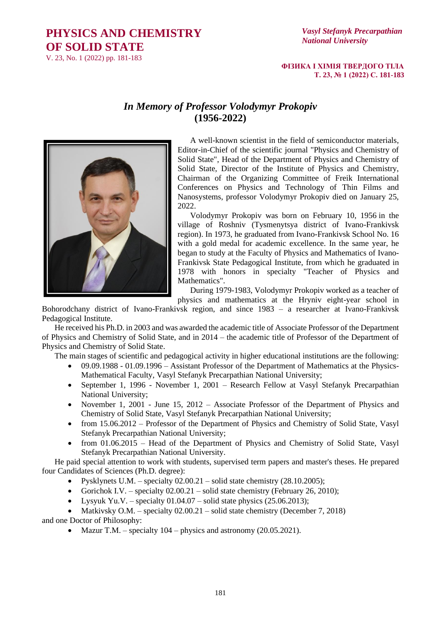## **PHYSICS AND CHEMISTRY OF SOLID STATE**

V. 23, No. 1 (2022) pp. 181-183

## *Vasyl Stefanyk Precarpathian National University*

## **ФІЗИКА І ХІМІЯ ТВЕРДОГО ТІЛА Т. 23, № 1 (2022) С. 181-183**

## *In Memory of Professor Volodymyr Prokopiv* **(1956-2022)**



A well-known scientist in the field of semiconductor materials, Editor-in-Chief of the scientific journal "Physics and Chemistry of Solid State", Head of the Department of Physics and Chemistry of Solid State, Director of the Institute of Physics and Chemistry, Chairman of the Organizing Committee of Freik International Conferences on Physics and Technology of Thin Films and Nanosystems, professor Volodymyr Prokopiv died on January 25, 2022.

Volodymyr Prokopiv was born on February 10, 1956 in the village of Roshniv (Tysmenytsya district of Ivano-Frankivsk region). In 1973, he graduated from Ivano-Frankivsk School No. 16 with a gold medal for academic excellence. In the same year, he began to study at the Faculty of Physics and Mathematics of Ivano-Frankivsk State Pedagogical Institute, from which he graduated in 1978 with honors in specialty "Teacher of Physics and Mathematics".

During 1979-1983, Volodymyr Prokopiv worked as a teacher of

physics and mathematics at the Hryniv eight-year school in

Bohorodchany district of Ivano-Frankivsk region, and since 1983 – a researcher at Ivano-Frankivsk Pedagogical Institute.

He received his Ph.D. in 2003 and was awarded the academic title of Associate Professor of the Department of Physics and Chemistry of Solid State, and in 2014 – the academic title of Professor of the Department of Physics and Chemistry of Solid State.

The main stages of scientific and pedagogical activity in higher educational institutions are the following:

- 09.09.1988 01.09.1996 Assistant Professor of the Department of Mathematics at the Physics-Mathematical Faculty, Vasyl Stefanyk Precarpathian National University;
- September 1, 1996 November 1, 2001 Research Fellow at Vasyl Stefanyk Precarpathian National University;
- November 1, 2001 June 15, 2012 Associate Professor of the Department of Physics and Chemistry of Solid State, Vasyl Stefanyk Precarpathian National University;
- from 15.06.2012 Professor of the Department of Physics and Chemistry of Solid State, Vasyl Stefanyk Precarpathian National University;
- from 01.06.2015 Head of the Department of Physics and Chemistry of Solid State, Vasyl Stefanyk Precarpathian National University.

He paid special attention to work with students, supervised term papers and master's theses. He prepared four Candidates of Sciences (Ph.D. degree):

- Pysklynets U.M. specialty  $02.00.21$  solid state chemistry  $(28.10.2005)$ ;
- Gorichok I.V. specialty  $02.00.21$  solid state chemistry (February 26, 2010);
- Lysyuk Yu.V. specialty  $01.04.07$  solid state physics  $(25.06.2013)$ ;

• Matkivsky O.M. – specialty  $02.00.21$  – solid state chemistry (December 7, 2018) and one Doctor of Philosophy:

• Mazur T.M. – specialty  $104$  – physics and astronomy (20.05.2021).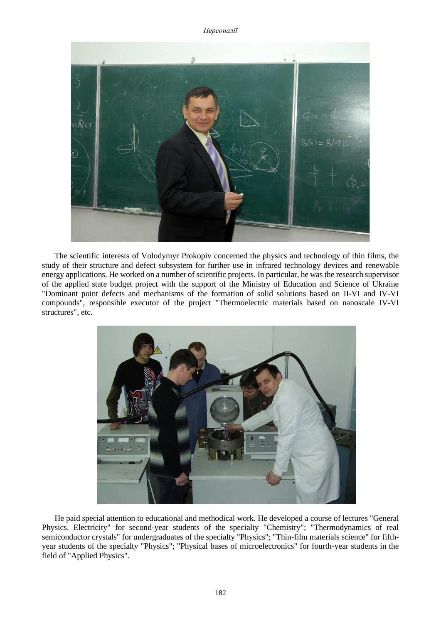*Персоналії*



The scientific interests of Volodymyr Prokopiv concerned the physics and technology of thin films, the study of their structure and defect subsystem for further use in infrared technology devices and renewable energy applications. He worked on a number of scientific projects. In particular, he was the research supervisor of the applied state budget project with the support of the Ministry of Education and Science of Ukraine "Dominant point defects and mechanisms of the formation of solid solutions based on II-VI and IV-VI compounds", responsible executor of the project "Thermoelectric materials based on nanoscale IV-VI structures", etc.



He paid special attention to educational and methodical work. He developed a course of lectures "General Physics. Electricity" for second-year students of the specialty "Chemistry"; "Thermodynamics of real semiconductor crystals" for undergraduates of the specialty "Physics"; "Thin-film materials science" for fifthyear students of the specialty "Physics"; "Physical bases of microelectronics" for fourth-year students in the field of "Applied Physics".